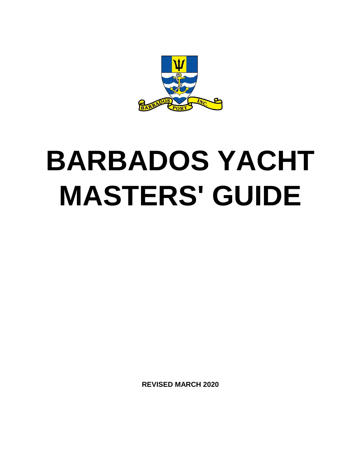

# **BARBADOS YACHT MASTERS' GUIDE**

**REVISED MARCH 2020**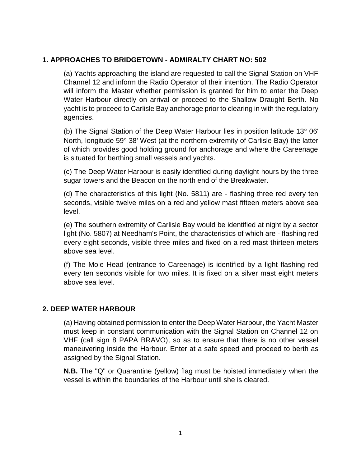#### **1. APPROACHES TO BRIDGETOWN - ADMIRALTY CHART NO: 502**

(a) Yachts approaching the island are requested to call the Signal Station on VHF Channel 12 and inform the Radio Operator of their intention. The Radio Operator will inform the Master whether permission is granted for him to enter the Deep Water Harbour directly on arrival or proceed to the Shallow Draught Berth. No yacht is to proceed to Carlisle Bay anchorage prior to clearing in with the regulatory agencies.

(b) The Signal Station of the Deep Water Harbour lies in position latitude  $13^{\circ}$  06' North, longitude 59 $\degree$  38' West (at the northern extremity of Carlisle Bay) the latter of which provides good holding ground for anchorage and where the Careenage is situated for berthing small vessels and yachts.

(c) The Deep Water Harbour is easily identified during daylight hours by the three sugar towers and the Beacon on the north end of the Breakwater.

(d) The characteristics of this light (No. 5811) are - flashing three red every ten seconds, visible twelve miles on a red and yellow mast fifteen meters above sea level.

(e) The southern extremity of Carlisle Bay would be identified at night by a sector light (No. 5807) at Needham's Point, the characteristics of which are - flashing red every eight seconds, visible three miles and fixed on a red mast thirteen meters above sea level.

(f) The Mole Head (entrance to Careenage) is identified by a light flashing red every ten seconds visible for two miles. It is fixed on a silver mast eight meters above sea level.

#### **2. DEEP WATER HARBOUR**

(a) Having obtained permission to enter the Deep Water Harbour, the Yacht Master must keep in constant communication with the Signal Station on Channel 12 on VHF (call sign 8 PAPA BRAVO), so as to ensure that there is no other vessel maneuvering inside the Harbour. Enter at a safe speed and proceed to berth as assigned by the Signal Station.

**N.B.** The "Q" or Quarantine (yellow) flag must be hoisted immediately when the vessel is within the boundaries of the Harbour until she is cleared.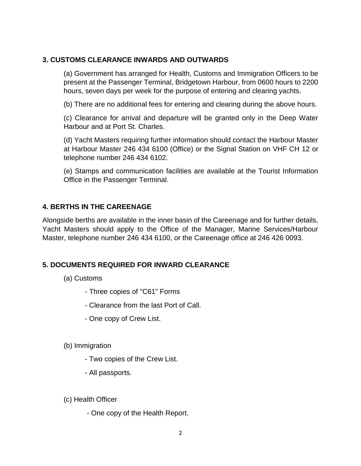#### **3. CUSTOMS CLEARANCE INWARDS AND OUTWARDS**

(a) Government has arranged for Health, Customs and Immigration Officers to be present at the Passenger Terminal, Bridgetown Harbour, from 0600 hours to 2200 hours, seven days per week for the purpose of entering and clearing yachts.

(b) There are no additional fees for entering and clearing during the above hours.

(c) Clearance for arrival and departure will be granted only in the Deep Water Harbour and at Port St. Charles.

(d) Yacht Masters requiring further information should contact the Harbour Master at Harbour Master 246 434 6100 (Office) or the Signal Station on VHF CH 12 or telephone number 246 434 6102.

(e) Stamps and communication facilities are available at the Tourist Information Office in the Passenger Terminal.

#### **4. BERTHS IN THE CAREENAGE**

Alongside berths are available in the inner basin of the Careenage and for further details, Yacht Masters should apply to the Office of the Manager, Marine Services/Harbour Master, telephone number 246 434 6100, or the Careenage office at 246 426 0093.

#### **5. DOCUMENTS REQUIRED FOR INWARD CLEARANCE**

- (a) Customs
	- Three copies of "C61" Forms
	- Clearance from the last Port of Call.
	- One copy of Crew List.
- (b) Immigration
	- Two copies of the Crew List.
	- All passports.
- (c) Health Officer
	- One copy of the Health Report.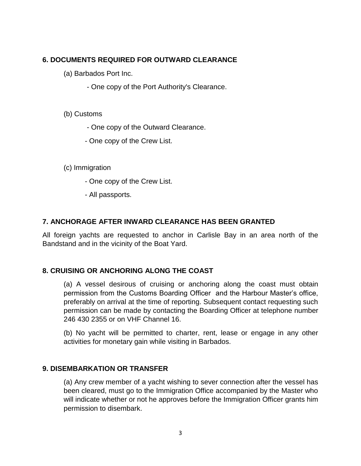## **6. DOCUMENTS REQUIRED FOR OUTWARD CLEARANCE**

- (a) Barbados Port Inc.
	- One copy of the Port Authority's Clearance.

#### (b) Customs

- One copy of the Outward Clearance.
- One copy of the Crew List.
- (c) Immigration
	- One copy of the Crew List.
	- All passports.

#### **7. ANCHORAGE AFTER INWARD CLEARANCE HAS BEEN GRANTED**

All foreign yachts are requested to anchor in Carlisle Bay in an area north of the Bandstand and in the vicinity of the Boat Yard.

#### **8. CRUISING OR ANCHORING ALONG THE COAST**

(a) A vessel desirous of cruising or anchoring along the coast must obtain permission from the Customs Boarding Officer and the Harbour Master's office, preferably on arrival at the time of reporting. Subsequent contact requesting such permission can be made by contacting the Boarding Officer at telephone number 246 430 2355 or on VHF Channel 16.

(b) No yacht will be permitted to charter, rent, lease or engage in any other activities for monetary gain while visiting in Barbados.

#### **9. DISEMBARKATION OR TRANSFER**

(a) Any crew member of a yacht wishing to sever connection after the vessel has been cleared, must go to the Immigration Office accompanied by the Master who will indicate whether or not he approves before the Immigration Officer grants him permission to disembark.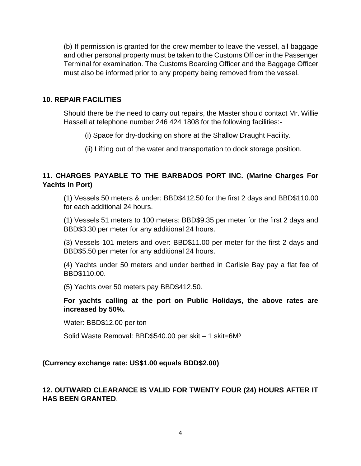(b) If permission is granted for the crew member to leave the vessel, all baggage and other personal property must be taken to the Customs Officer in the Passenger Terminal for examination. The Customs Boarding Officer and the Baggage Officer must also be informed prior to any property being removed from the vessel.

#### **10. REPAIR FACILITIES**

Should there be the need to carry out repairs, the Master should contact Mr. Willie Hassell at telephone number 246 424 1808 for the following facilities:-

- (i) Space for dry-docking on shore at the Shallow Draught Facility.
- (ii) Lifting out of the water and transportation to dock storage position.

## **11. CHARGES PAYABLE TO THE BARBADOS PORT INC. (Marine Charges For Yachts In Port)**

(1) Vessels 50 meters & under: BBD\$412.50 for the first 2 days and BBD\$110.00 for each additional 24 hours.

(1) Vessels 51 meters to 100 meters: BBD\$9.35 per meter for the first 2 days and BBD\$3.30 per meter for any additional 24 hours.

(3) Vessels 101 meters and over: BBD\$11.00 per meter for the first 2 days and BBD\$5.50 per meter for any additional 24 hours.

(4) Yachts under 50 meters and under berthed in Carlisle Bay pay a flat fee of BBD\$110.00.

(5) Yachts over 50 meters pay BBD\$412.50.

**For yachts calling at the port on Public Holidays, the above rates are increased by 50%.**

Water: BBD\$12.00 per ton

Solid Waste Removal: BBD\$540.00 per skit - 1 skit=6M<sup>3</sup>

#### **(Currency exchange rate: US\$1.00 equals BDD\$2.00)**

#### **12. OUTWARD CLEARANCE IS VALID FOR TWENTY FOUR (24) HOURS AFTER IT HAS BEEN GRANTED**.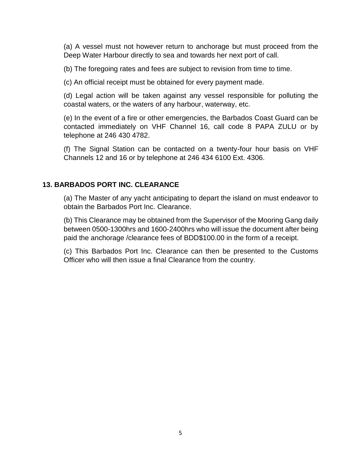(a) A vessel must not however return to anchorage but must proceed from the Deep Water Harbour directly to sea and towards her next port of call.

(b) The foregoing rates and fees are subject to revision from time to time.

(c) An official receipt must be obtained for every payment made.

(d) Legal action will be taken against any vessel responsible for polluting the coastal waters, or the waters of any harbour, waterway, etc.

(e) In the event of a fire or other emergencies, the Barbados Coast Guard can be contacted immediately on VHF Channel 16, call code 8 PAPA ZULU or by telephone at 246 430 4782.

(f) The Signal Station can be contacted on a twenty-four hour basis on VHF Channels 12 and 16 or by telephone at 246 434 6100 Ext. 4306.

#### **13. BARBADOS PORT INC. CLEARANCE**

(a) The Master of any yacht anticipating to depart the island on must endeavor to obtain the Barbados Port Inc. Clearance.

(b) This Clearance may be obtained from the Supervisor of the Mooring Gang daily between 0500-1300hrs and 1600-2400hrs who will issue the document after being paid the anchorage /clearance fees of BDD\$100.00 in the form of a receipt.

(c) This Barbados Port Inc. Clearance can then be presented to the Customs Officer who will then issue a final Clearance from the country.